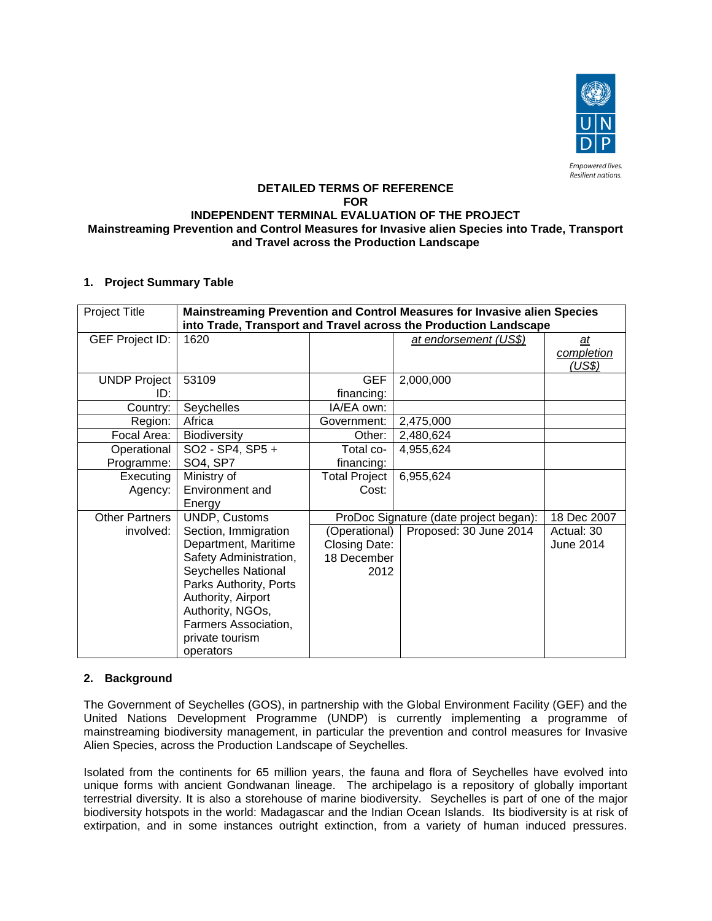

#### **DETAILED TERMS OF REFERENCE FOR INDEPENDENT TERMINAL EVALUATION OF THE PROJECT Mainstreaming Prevention and Control Measures for Invasive alien Species into Trade, Transport and Travel across the Production Landscape**

## **1. Project Summary Table**

| <b>Project Title</b>       | Mainstreaming Prevention and Control Measures for Invasive alien Species<br>into Trade, Transport and Travel across the Production Landscape |                          |                                        |                             |
|----------------------------|----------------------------------------------------------------------------------------------------------------------------------------------|--------------------------|----------------------------------------|-----------------------------|
| <b>GEF Project ID:</b>     | 1620                                                                                                                                         |                          | at endorsement (US\$)                  | a t<br>completion<br>(US\$) |
| <b>UNDP Project</b><br>ID: | 53109                                                                                                                                        | <b>GEF</b><br>financing: | 2,000,000                              |                             |
| Country:                   | Seychelles                                                                                                                                   | IA/EA own:               |                                        |                             |
| Region:                    | Africa                                                                                                                                       | Government:              | 2,475,000                              |                             |
| Focal Area:                | Biodiversity                                                                                                                                 | Other:                   | 2,480,624                              |                             |
| Operational                | SO2 - SP4, SP5 +                                                                                                                             | Total co-                | 4,955,624                              |                             |
| Programme:                 | SO4, SP7                                                                                                                                     | financing:               |                                        |                             |
| Executing                  | Ministry of                                                                                                                                  | <b>Total Project</b>     | 6,955,624                              |                             |
| Agency:                    | Environment and                                                                                                                              | Cost:                    |                                        |                             |
|                            | Energy                                                                                                                                       |                          |                                        |                             |
| <b>Other Partners</b>      | UNDP, Customs                                                                                                                                |                          | ProDoc Signature (date project began): | 18 Dec 2007                 |
| involved:                  | Section, Immigration                                                                                                                         | (Operational)            | Proposed: 30 June 2014                 | Actual: 30                  |
|                            | Department, Maritime                                                                                                                         | Closing Date:            |                                        | June 2014                   |
|                            | Safety Administration,                                                                                                                       | 18 December              |                                        |                             |
|                            | Seychelles National                                                                                                                          | 2012                     |                                        |                             |
|                            | Parks Authority, Ports                                                                                                                       |                          |                                        |                             |
|                            | Authority, Airport                                                                                                                           |                          |                                        |                             |
|                            | Authority, NGOs,                                                                                                                             |                          |                                        |                             |
|                            | Farmers Association,                                                                                                                         |                          |                                        |                             |
|                            | private tourism<br>operators                                                                                                                 |                          |                                        |                             |

#### **2. Background**

The Government of Seychelles (GOS), in partnership with the Global Environment Facility (GEF) and the United Nations Development Programme (UNDP) is currently implementing a programme of mainstreaming biodiversity management, in particular the prevention and control measures for Invasive Alien Species, across the Production Landscape of Seychelles.

Isolated from the continents for 65 million years, the fauna and flora of Seychelles have evolved into unique forms with ancient Gondwanan lineage. The archipelago is a repository of globally important terrestrial diversity. It is also a storehouse of marine biodiversity. Seychelles is part of one of the major biodiversity hotspots in the world: Madagascar and the Indian Ocean Islands. Its biodiversity is at risk of extirpation, and in some instances outright extinction, from a variety of human induced pressures.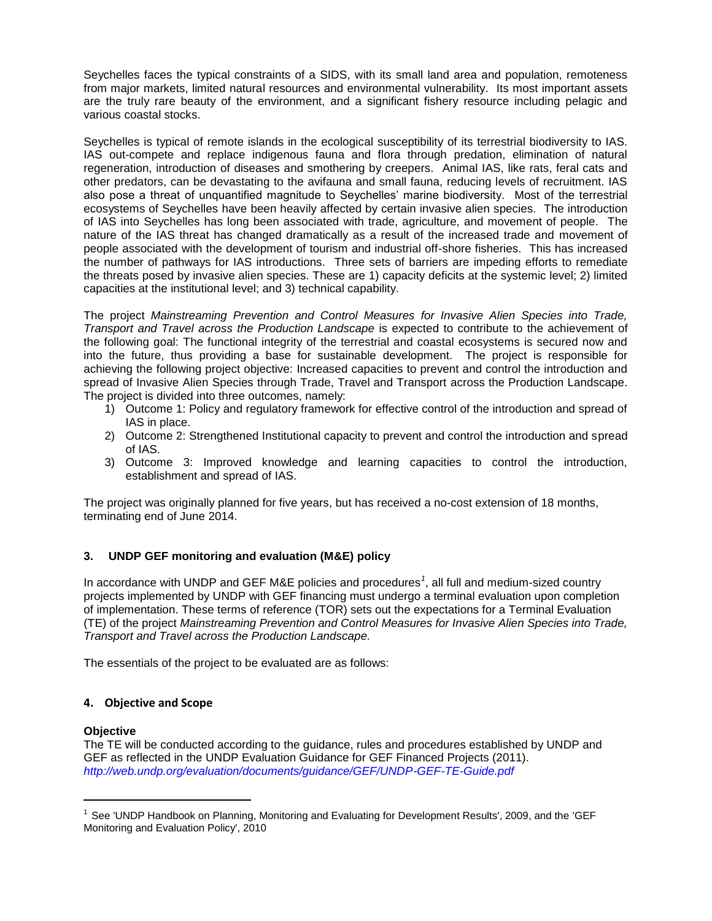Seychelles faces the typical constraints of a SIDS, with its small land area and population, remoteness from major markets, limited natural resources and environmental vulnerability. Its most important assets are the truly rare beauty of the environment, and a significant fishery resource including pelagic and various coastal stocks.

Seychelles is typical of remote islands in the ecological susceptibility of its terrestrial biodiversity to IAS. IAS out-compete and replace indigenous fauna and flora through predation, elimination of natural regeneration, introduction of diseases and smothering by creepers. Animal IAS, like rats, feral cats and other predators, can be devastating to the avifauna and small fauna, reducing levels of recruitment. IAS also pose a threat of unquantified magnitude to Seychelles' marine biodiversity. Most of the terrestrial ecosystems of Seychelles have been heavily affected by certain invasive alien species. The introduction of IAS into Seychelles has long been associated with trade, agriculture, and movement of people. The nature of the IAS threat has changed dramatically as a result of the increased trade and movement of people associated with the development of tourism and industrial off-shore fisheries. This has increased the number of pathways for IAS introductions. Three sets of barriers are impeding efforts to remediate the threats posed by invasive alien species. These are 1) capacity deficits at the systemic level; 2) limited capacities at the institutional level; and 3) technical capability.

The project *Mainstreaming Prevention and Control Measures for Invasive Alien Species into Trade, Transport and Travel across the Production Landscape* is expected to contribute to the achievement of the following goal: The functional integrity of the terrestrial and coastal ecosystems is secured now and into the future, thus providing a base for sustainable development. The project is responsible for achieving the following project objective: Increased capacities to prevent and control the introduction and spread of Invasive Alien Species through Trade, Travel and Transport across the Production Landscape. The project is divided into three outcomes, namely:

- 1) Outcome 1: Policy and regulatory framework for effective control of the introduction and spread of IAS in place.
- 2) Outcome 2: Strengthened Institutional capacity to prevent and control the introduction and spread of IAS.
- 3) Outcome 3: Improved knowledge and learning capacities to control the introduction, establishment and spread of IAS.

The project was originally planned for five years, but has received a no-cost extension of 18 months, terminating end of June 2014.

## **3. UNDP GEF monitoring and evaluation (M&E) policy**

In accordance with UNDP and GEF M&E policies and procedures*<sup>1</sup>* , all full and medium-sized country projects implemented by UNDP with GEF financing must undergo a terminal evaluation upon completion of implementation. These terms of reference (TOR) sets out the expectations for a Terminal Evaluation (TE) of the project *Mainstreaming Prevention and Control Measures for Invasive Alien Species into Trade, Transport and Travel across the Production Landscape.*

The essentials of the project to be evaluated are as follows:

## **4. Objective and Scope**

#### **Objective**

l

The TE will be conducted according to the guidance, rules and procedures established by UNDP and GEF as reflected in the UNDP Evaluation Guidance for GEF Financed Projects (2011). *<http://web.undp.org/evaluation/documents/guidance/GEF/UNDP-GEF-TE-Guide.pdf>*

<sup>&</sup>lt;sup>1</sup> See 'UNDP Handbook on Planning, Monitoring and Evaluating for Development Results', 2009, and the 'GEF Monitoring and Evaluation Policy', 2010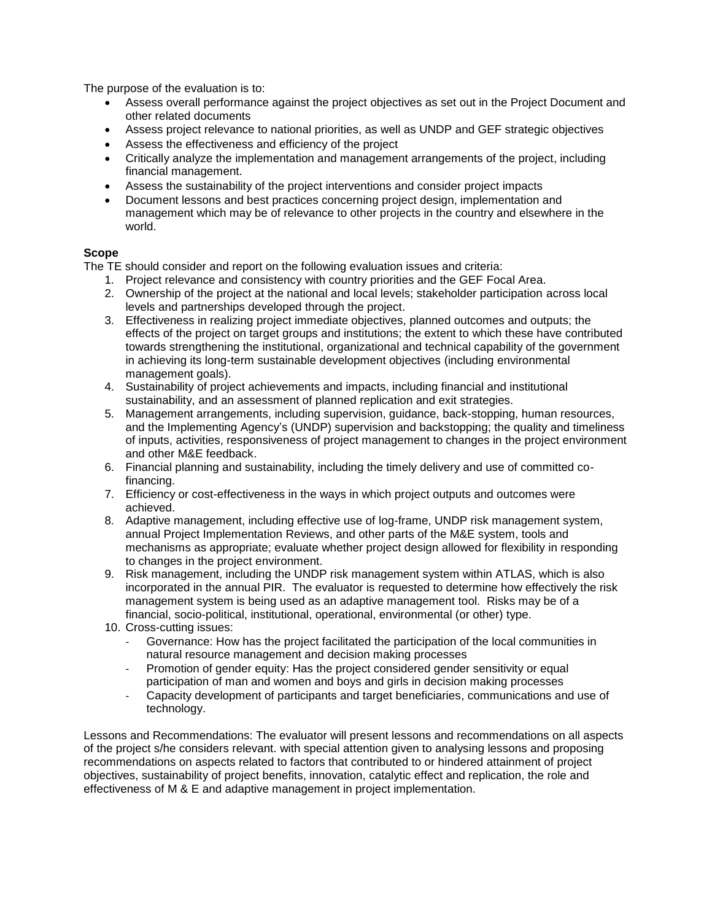The purpose of the evaluation is to:

- Assess overall performance against the project objectives as set out in the Project Document and other related documents
- Assess project relevance to national priorities, as well as UNDP and GEF strategic objectives
- Assess the effectiveness and efficiency of the project
- Critically analyze the implementation and management arrangements of the project, including financial management.
- Assess the sustainability of the project interventions and consider project impacts
- Document lessons and best practices concerning project design, implementation and management which may be of relevance to other projects in the country and elsewhere in the world.

## **Scope**

The TE should consider and report on the following evaluation issues and criteria:

- 1. Project relevance and consistency with country priorities and the GEF Focal Area.
- 2. Ownership of the project at the national and local levels; stakeholder participation across local levels and partnerships developed through the project.
- 3. Effectiveness in realizing project immediate objectives, planned outcomes and outputs; the effects of the project on target groups and institutions; the extent to which these have contributed towards strengthening the institutional, organizational and technical capability of the government in achieving its long-term sustainable development objectives (including environmental management goals).
- 4. Sustainability of project achievements and impacts, including financial and institutional sustainability, and an assessment of planned replication and exit strategies.
- 5. Management arrangements, including supervision, guidance, back-stopping, human resources, and the Implementing Agency's (UNDP) supervision and backstopping; the quality and timeliness of inputs, activities, responsiveness of project management to changes in the project environment and other M&E feedback.
- 6. Financial planning and sustainability, including the timely delivery and use of committed cofinancing.
- 7. Efficiency or cost-effectiveness in the ways in which project outputs and outcomes were achieved.
- 8. Adaptive management, including effective use of log-frame, UNDP risk management system, annual Project Implementation Reviews, and other parts of the M&E system, tools and mechanisms as appropriate; evaluate whether project design allowed for flexibility in responding to changes in the project environment.
- 9. Risk management, including the UNDP risk management system within ATLAS, which is also incorporated in the annual PIR. The evaluator is requested to determine how effectively the risk management system is being used as an adaptive management tool. Risks may be of a financial, socio-political, institutional, operational, environmental (or other) type.
- 10. Cross-cutting issues:
	- Governance: How has the project facilitated the participation of the local communities in natural resource management and decision making processes
	- Promotion of gender equity: Has the project considered gender sensitivity or equal participation of man and women and boys and girls in decision making processes
	- Capacity development of participants and target beneficiaries, communications and use of technology.

Lessons and Recommendations: The evaluator will present lessons and recommendations on all aspects of the project s/he considers relevant. with special attention given to analysing lessons and proposing recommendations on aspects related to factors that contributed to or hindered attainment of project objectives, sustainability of project benefits, innovation, catalytic effect and replication, the role and effectiveness of M & E and adaptive management in project implementation.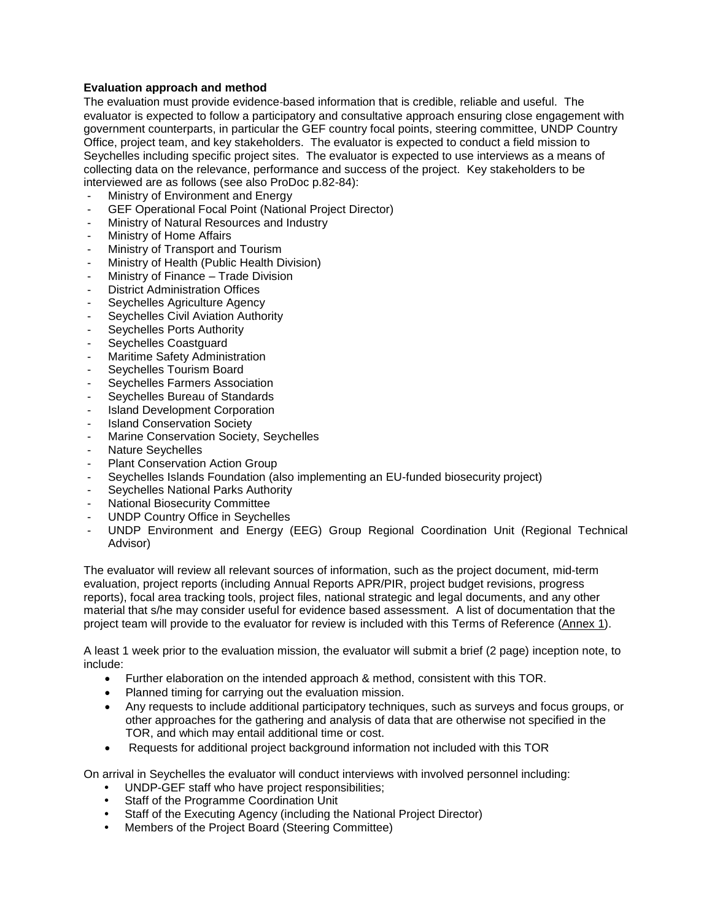## **Evaluation approach and method**

The evaluation must provide evidence‐based information that is credible, reliable and useful. The evaluator is expected to follow a participatory and consultative approach ensuring close engagement with government counterparts, in particular the GEF country focal points, steering committee, UNDP Country Office, project team, and key stakeholders. The evaluator is expected to conduct a field mission to Seychelles including specific project sites. The evaluator is expected to use interviews as a means of collecting data on the relevance, performance and success of the project. Key stakeholders to be interviewed are as follows (see also ProDoc p.82-84):

- Ministry of Environment and Energy
- GEF Operational Focal Point (National Project Director)
- Ministry of Natural Resources and Industry
- Ministry of Home Affairs
- Ministry of Transport and Tourism
- Ministry of Health (Public Health Division)
- Ministry of Finance Trade Division
- District Administration Offices
- Seychelles Agriculture Agency
- Seychelles Civil Aviation Authority
- Seychelles Ports Authority
- Seychelles Coastguard
- Maritime Safety Administration
- Seychelles Tourism Board
- Seychelles Farmers Association
- Seychelles Bureau of Standards
- Island Development Corporation
- Island Conservation Society
- Marine Conservation Society, Seychelles
- Nature Seychelles
- Plant Conservation Action Group
- Seychelles Islands Foundation (also implementing an EU-funded biosecurity project)
- Seychelles National Parks Authority
- National Biosecurity Committee
- UNDP Country Office in Seychelles
- UNDP Environment and Energy (EEG) Group Regional Coordination Unit (Regional Technical Advisor)

The evaluator will review all relevant sources of information, such as the project document, mid-term evaluation, project reports (including Annual Reports APR/PIR, project budget revisions, progress reports), focal area tracking tools, project files, national strategic and legal documents, and any other material that s/he may consider useful for evidence based assessment. A list of documentation that the project team will provide to the evaluator for review is included with this Terms of Reference (Annex 1).

A least 1 week prior to the evaluation mission, the evaluator will submit a brief (2 page) inception note, to include:

- Further elaboration on the intended approach & method, consistent with this TOR.
- Planned timing for carrying out the evaluation mission.
- Any requests to include additional participatory techniques, such as surveys and focus groups, or other approaches for the gathering and analysis of data that are otherwise not specified in the TOR, and which may entail additional time or cost.
- Requests for additional project background information not included with this TOR

On arrival in Seychelles the evaluator will conduct interviews with involved personnel including:

- UNDP-GEF staff who have project responsibilities;
- Staff of the Programme Coordination Unit
- Staff of the Executing Agency (including the National Project Director)
- Members of the Project Board (Steering Committee)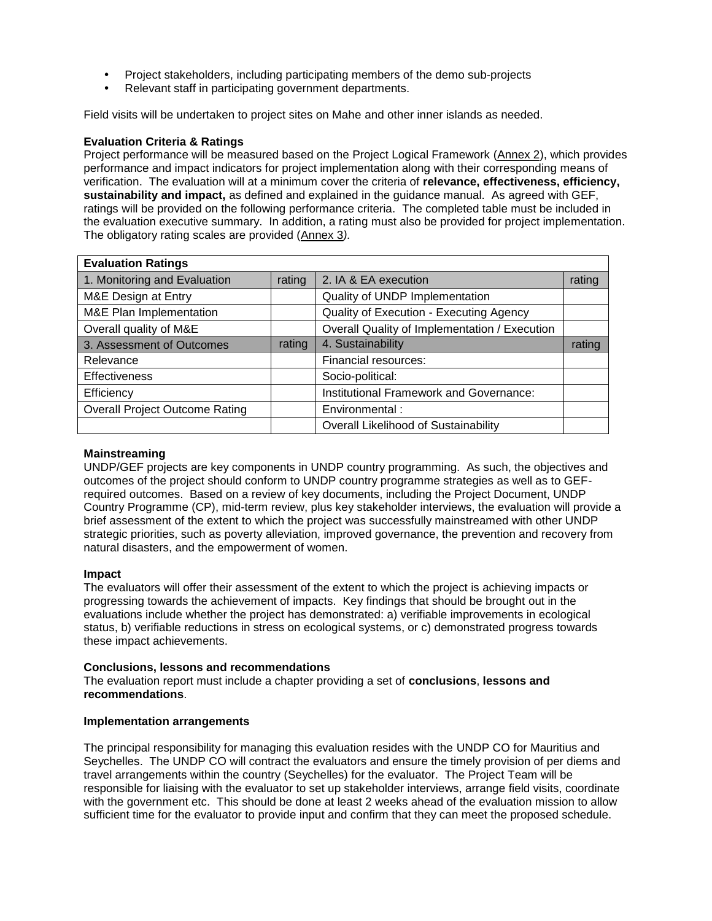- Project stakeholders, including participating members of the demo sub-projects
- Relevant staff in participating government departments.

Field visits will be undertaken to project sites on Mahe and other inner islands as needed.

#### **Evaluation Criteria & Ratings**

Project performance will be measured based on the Project Logical Framework (Annex 2), which provides performance and impact indicators for project implementation along with their corresponding means of verification. The evaluation will at a minimum cover the criteria of **relevance, effectiveness, efficiency, sustainability and impact,** as defined and explained in the guidance manual. As agreed with GEF, ratings will be provided on the following performance criteria. The completed table must be included in the evaluation executive summary. In addition, a rating must also be provided for project implementation. The obligatory rating scales are provided (Annex 3*).*

| <b>Evaluation Ratings</b>             |        |                                               |        |
|---------------------------------------|--------|-----------------------------------------------|--------|
| 1. Monitoring and Evaluation          | rating | 2. IA & EA execution                          | rating |
| M&E Design at Entry                   |        | Quality of UNDP Implementation                |        |
| M&E Plan Implementation               |        | Quality of Execution - Executing Agency       |        |
| Overall quality of M&E                |        | Overall Quality of Implementation / Execution |        |
| 3. Assessment of Outcomes             | rating | 4. Sustainability                             | rating |
| Relevance                             |        | Financial resources:                          |        |
| <b>Effectiveness</b>                  |        | Socio-political:                              |        |
| Efficiency                            |        | Institutional Framework and Governance:       |        |
| <b>Overall Project Outcome Rating</b> |        | Environmental:                                |        |
|                                       |        | Overall Likelihood of Sustainability          |        |

#### **Mainstreaming**

UNDP/GEF projects are key components in UNDP country programming. As such, the objectives and outcomes of the project should conform to UNDP country programme strategies as well as to GEFrequired outcomes. Based on a review of key documents, including the Project Document, UNDP Country Programme (CP), mid-term review, plus key stakeholder interviews, the evaluation will provide a brief assessment of the extent to which the project was successfully mainstreamed with other UNDP strategic priorities, such as poverty alleviation, improved governance, the prevention and recovery from natural disasters, and the empowerment of women.

#### **Impact**

The evaluators will offer their assessment of the extent to which the project is achieving impacts or progressing towards the achievement of impacts. Key findings that should be brought out in the evaluations include whether the project has demonstrated: a) verifiable improvements in ecological status, b) verifiable reductions in stress on ecological systems, or c) demonstrated progress towards these impact achievements.

#### **Conclusions, lessons and recommendations**

The evaluation report must include a chapter providing a set of **conclusions**, **lessons and recommendations**.

#### **Implementation arrangements**

The principal responsibility for managing this evaluation resides with the UNDP CO for Mauritius and Seychelles. The UNDP CO will contract the evaluators and ensure the timely provision of per diems and travel arrangements within the country (Seychelles) for the evaluator. The Project Team will be responsible for liaising with the evaluator to set up stakeholder interviews, arrange field visits, coordinate with the government etc. This should be done at least 2 weeks ahead of the evaluation mission to allow sufficient time for the evaluator to provide input and confirm that they can meet the proposed schedule.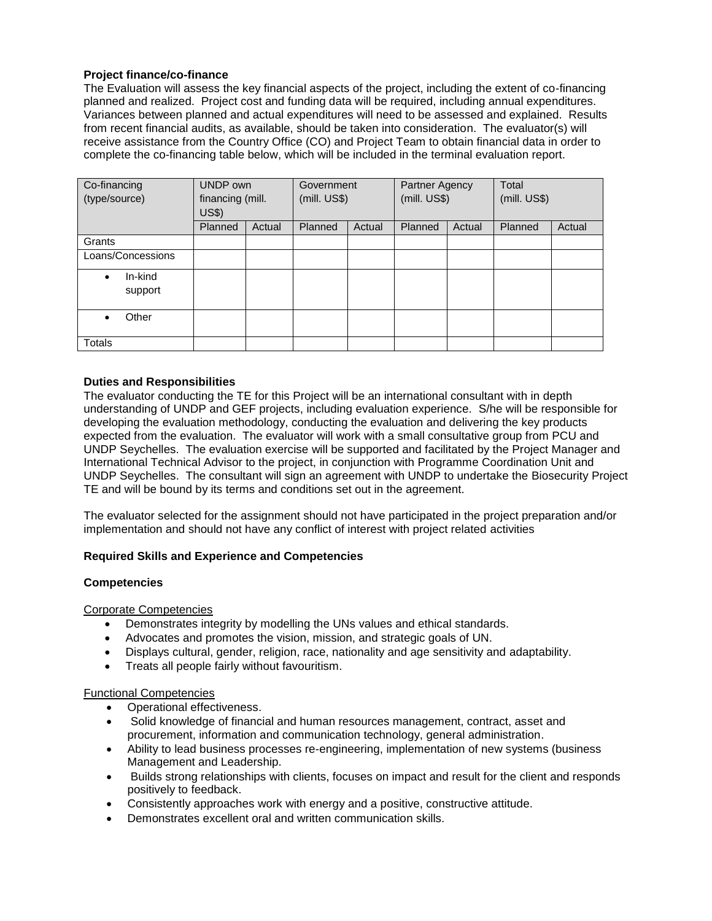## **Project finance/co-finance**

The Evaluation will assess the key financial aspects of the project, including the extent of co-financing planned and realized. Project cost and funding data will be required, including annual expenditures. Variances between planned and actual expenditures will need to be assessed and explained. Results from recent financial audits, as available, should be taken into consideration. The evaluator(s) will receive assistance from the Country Office (CO) and Project Team to obtain financial data in order to complete the co-financing table below, which will be included in the terminal evaluation report.

| Co-financing<br>(type/source) | UNDP own<br>financing (mill.<br><b>US\$)</b> |        | Government<br>(mill. US\$) |        | Partner Agency<br>(mill. US\$) |        | Total<br>(mill. US\$) |        |
|-------------------------------|----------------------------------------------|--------|----------------------------|--------|--------------------------------|--------|-----------------------|--------|
|                               | Planned                                      | Actual | Planned                    | Actual | Planned                        | Actual | Planned               | Actual |
| Grants                        |                                              |        |                            |        |                                |        |                       |        |
| Loans/Concessions             |                                              |        |                            |        |                                |        |                       |        |
| In-kind<br>٠<br>support       |                                              |        |                            |        |                                |        |                       |        |
| Other                         |                                              |        |                            |        |                                |        |                       |        |
| Totals                        |                                              |        |                            |        |                                |        |                       |        |

## **Duties and Responsibilities**

The evaluator conducting the TE for this Project will be an international consultant with in depth understanding of UNDP and GEF projects, including evaluation experience. S/he will be responsible for developing the evaluation methodology, conducting the evaluation and delivering the key products expected from the evaluation. The evaluator will work with a small consultative group from PCU and UNDP Seychelles. The evaluation exercise will be supported and facilitated by the Project Manager and International Technical Advisor to the project, in conjunction with Programme Coordination Unit and UNDP Seychelles. The consultant will sign an agreement with UNDP to undertake the Biosecurity Project TE and will be bound by its terms and conditions set out in the agreement.

The evaluator selected for the assignment should not have participated in the project preparation and/or implementation and should not have any conflict of interest with project related activities

## **Required Skills and Experience and Competencies**

#### **Competencies**

#### Corporate Competencies

- Demonstrates integrity by modelling the UNs values and ethical standards.
- Advocates and promotes the vision, mission, and strategic goals of UN.
- Displays cultural, gender, religion, race, nationality and age sensitivity and adaptability.
- Treats all people fairly without favouritism.

#### Functional Competencies

- Operational effectiveness.
- Solid knowledge of financial and human resources management, contract, asset and procurement, information and communication technology, general administration.
- Ability to lead business processes re-engineering, implementation of new systems (business Management and Leadership.
- Builds strong relationships with clients, focuses on impact and result for the client and responds positively to feedback.
- Consistently approaches work with energy and a positive, constructive attitude.
- Demonstrates excellent oral and written communication skills.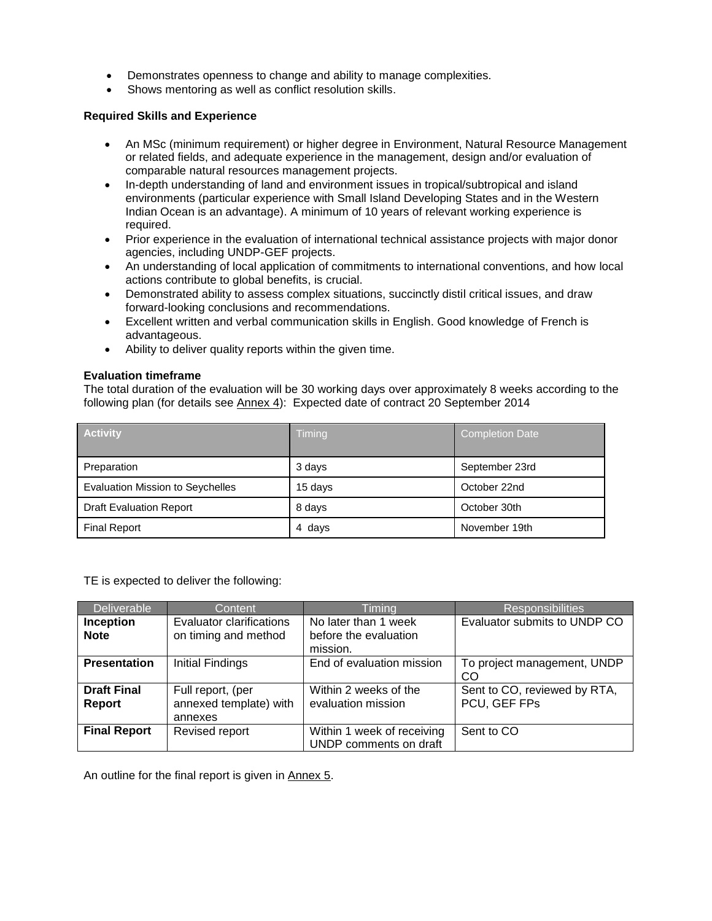- Demonstrates openness to change and ability to manage complexities.
- Shows mentoring as well as conflict resolution skills.

#### **Required Skills and Experience**

- An MSc (minimum requirement) or higher degree in Environment, Natural Resource Management or related fields, and adequate experience in the management, design and/or evaluation of comparable natural resources management projects.
- In-depth understanding of land and environment issues in tropical/subtropical and island environments (particular experience with Small Island Developing States and in the Western Indian Ocean is an advantage). A minimum of 10 years of relevant working experience is required.
- Prior experience in the evaluation of international technical assistance projects with major donor agencies, including UNDP-GEF projects.
- An understanding of local application of commitments to international conventions, and how local actions contribute to global benefits, is crucial.
- Demonstrated ability to assess complex situations, succinctly distil critical issues, and draw forward-looking conclusions and recommendations.
- Excellent written and verbal communication skills in English. Good knowledge of French is advantageous.
- Ability to deliver quality reports within the given time.

## **Evaluation timeframe**

The total duration of the evaluation will be 30 working days over approximately 8 weeks according to the following plan (for details see Annex 4): Expected date of contract 20 September 2014

| <b>Activity</b>                         | Timing  | <b>Completion Date</b> |
|-----------------------------------------|---------|------------------------|
| Preparation                             | 3 days  | September 23rd         |
| <b>Evaluation Mission to Seychelles</b> | 15 days | October 22nd           |
| <b>Draft Evaluation Report</b>          | 8 days  | October 30th           |
| <b>Final Report</b>                     | 4 days  | November 19th          |

TE is expected to deliver the following:

| Deliverable                     | Content                                                 | Timing                                                    | <b>Responsibilities</b>                      |
|---------------------------------|---------------------------------------------------------|-----------------------------------------------------------|----------------------------------------------|
| <b>Inception</b><br><b>Note</b> | <b>Evaluator clarifications</b><br>on timing and method | No later than 1 week<br>before the evaluation<br>mission. | Evaluator submits to UNDP CO                 |
| <b>Presentation</b>             | <b>Initial Findings</b>                                 | End of evaluation mission                                 | To project management, UNDP<br>CO            |
| <b>Draft Final</b><br>Report    | Full report, (per<br>annexed template) with<br>annexes  | Within 2 weeks of the<br>evaluation mission               | Sent to CO, reviewed by RTA,<br>PCU, GEF FPs |
| <b>Final Report</b>             | Revised report                                          | Within 1 week of receiving<br>UNDP comments on draft      | Sent to CO                                   |

An outline for the final report is given in Annex 5.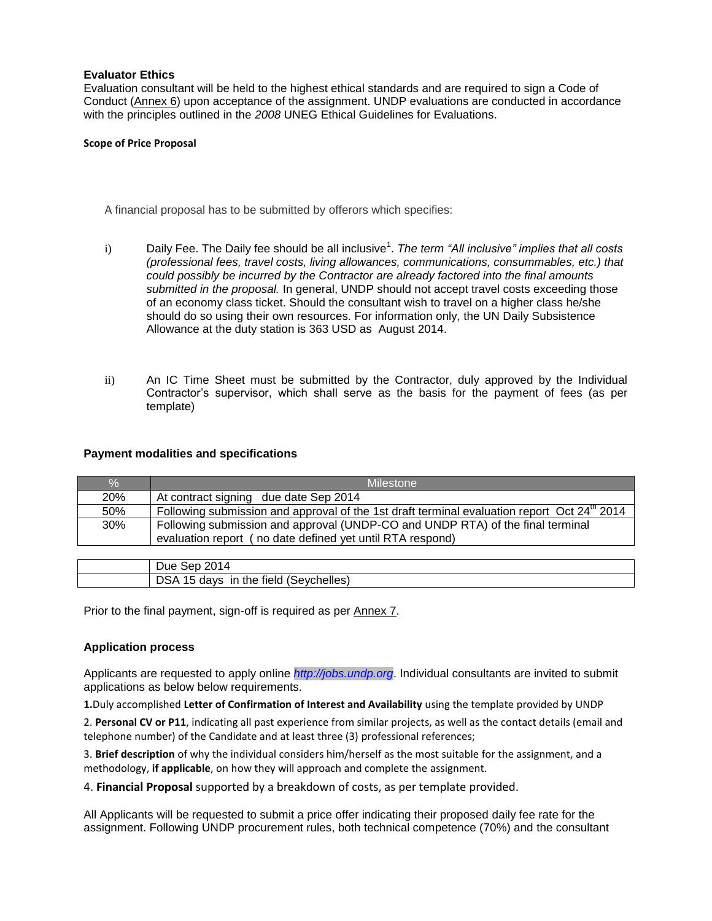#### **Evaluator Ethics**

Evaluation consultant will be held to the highest ethical standards and are required to sign a Code of Conduct (Annex 6) upon acceptance of the assignment. UNDP evaluations are conducted in accordance with the principles outlined in the *2008* UNEG Ethical Guidelines for Evaluations.

#### **Scope of Price Proposal**

A financial proposal has to be submitted by offerors which specifies:

- i) Daily Fee. The Daily fee should be all inclusive<sup>1</sup>. The term "All inclusive" implies that all costs *(professional fees, travel costs, living allowances, communications, consummables, etc.) that could possibly be incurred by the Contractor are already factored into the final amounts submitted in the proposal.* In general, UNDP should not accept travel costs exceeding those of an economy class ticket. Should the consultant wish to travel on a higher class he/she should do so using their own resources. For information only, the UN Daily Subsistence Allowance at the duty station is 363 USD as August 2014.
- ii) An IC Time Sheet must be submitted by the Contractor, duly approved by the Individual Contractor's supervisor, which shall serve as the basis for the payment of fees (as per template)

#### **Payment modalities and specifications**

| $\frac{0}{0}$ | Milestone                                                                                                                                   |
|---------------|---------------------------------------------------------------------------------------------------------------------------------------------|
| 20%           | At contract signing due date Sep 2014                                                                                                       |
| 50%           | Following submission and approval of the 1st draft terminal evaluation report Oct 24 <sup>th</sup> 2014                                     |
| 30%           | Following submission and approval (UNDP-CO and UNDP RTA) of the final terminal<br>evaluation report (no date defined yet until RTA respond) |
|               |                                                                                                                                             |
|               | Due Sep 2014                                                                                                                                |

Prior to the final payment, sign-off is required as per Annex 7.

DSA 15 days in the field (Seychelles)

#### **Application process**

Applicants are requested to apply online *[http://jobs.undp.org](http://jobs.undp.org/)*. Individual consultants are invited to submit applications as below below requirements.

**1.**Duly accomplished **Letter of Confirmation of Interest and Availability** using the template provided by UNDP

2. **Personal CV or P11**, indicating all past experience from similar projects, as well as the contact details (email and telephone number) of the Candidate and at least three (3) professional references;

3. **Brief description** of why the individual considers him/herself as the most suitable for the assignment, and a methodology, **if applicable**, on how they will approach and complete the assignment.

4. **Financial Proposal** supported by a breakdown of costs, as per template provided.

All Applicants will be requested to submit a price offer indicating their proposed daily fee rate for the assignment. Following UNDP procurement rules, both technical competence (70%) and the consultant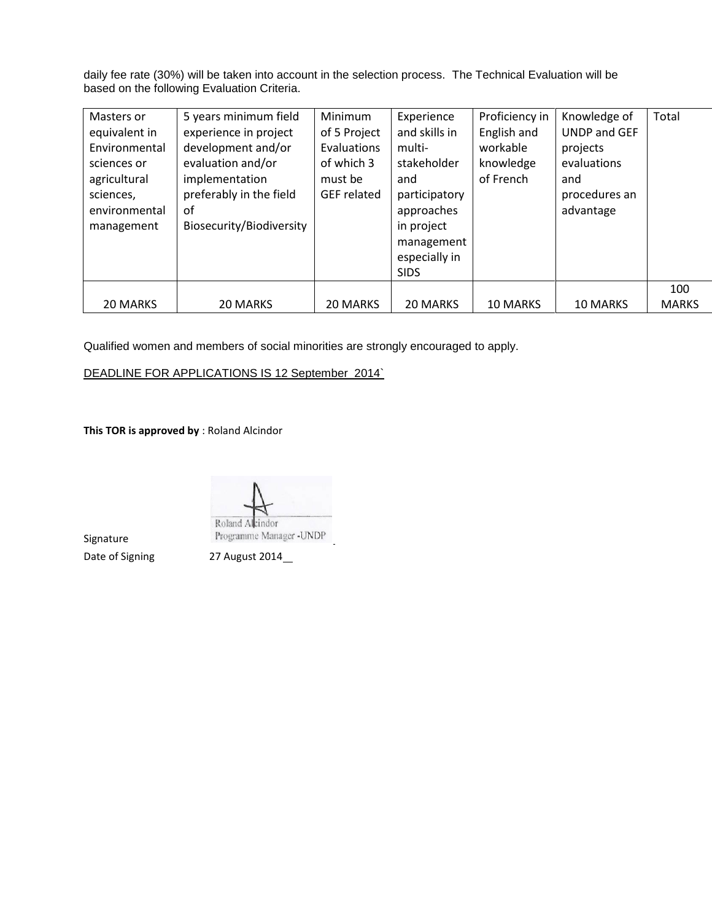daily fee rate (30%) will be taken into account in the selection process. The Technical Evaluation will be based on the following Evaluation Criteria.

|                                                                             | Masters or<br>equivalent in<br>Environmental<br>sciences or<br>agricultural<br>sciences,<br>environmental<br>management | 5 years minimum field<br>experience in project<br>development and/or<br>evaluation and/or<br>implementation<br>preferably in the field<br>οf<br>Biosecurity/Biodiversity | Minimum<br>of 5 Project<br>Evaluations<br>of which 3<br>must be<br><b>GEF</b> related | Experience<br>and skills in<br>multi-<br>stakeholder<br>and<br>participatory<br>approaches<br>in project<br>management<br>especially in<br><b>SIDS</b> | Proficiency in<br>English and<br>workable<br>knowledge<br>of French | Knowledge of<br><b>UNDP and GEF</b><br>projects<br>evaluations<br>and<br>procedures an<br>advantage | Total               |
|-----------------------------------------------------------------------------|-------------------------------------------------------------------------------------------------------------------------|--------------------------------------------------------------------------------------------------------------------------------------------------------------------------|---------------------------------------------------------------------------------------|--------------------------------------------------------------------------------------------------------------------------------------------------------|---------------------------------------------------------------------|-----------------------------------------------------------------------------------------------------|---------------------|
| 20 MARKS<br>20 MARKS<br>20 MARKS<br>10 MARKS<br>20 MARKS<br><b>10 MARKS</b> |                                                                                                                         |                                                                                                                                                                          |                                                                                       |                                                                                                                                                        |                                                                     |                                                                                                     | 100<br><b>MARKS</b> |

Qualified women and members of social minorities are strongly encouraged to apply.

DEADLINE FOR APPLICATIONS IS 12 September 2014`

**This TOR is approved by** : Roland Alcindor

Roland Alcindor Programme Manager -UNDP

Signature

Date of Signing 27 August 2014\_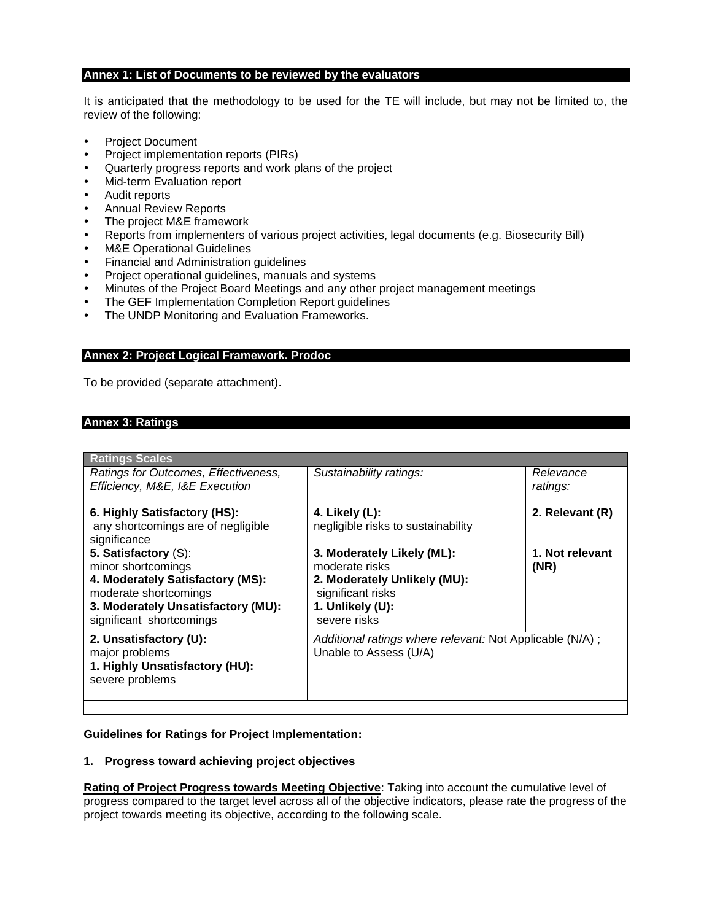#### **Annex 1: List of Documents to be reviewed by the evaluators**

It is anticipated that the methodology to be used for the TE will include, but may not be limited to, the review of the following:

- Project Document
- Project implementation reports (PIRs)
- Quarterly progress reports and work plans of the project
- Mid-term Evaluation report
- Audit reports
- Annual Review Reports
- The project M&E framework
- Reports from implementers of various project activities, legal documents (e.g. Biosecurity Bill)
- M&E Operational Guidelines
- Financial and Administration guidelines
- Project operational guidelines, manuals and systems
- Minutes of the Project Board Meetings and any other project management meetings
- The GEF Implementation Completion Report guidelines
- The UNDP Monitoring and Evaluation Frameworks.

#### **Annex 2: Project Logical Framework. Prodoc**

To be provided (separate attachment).

## **Annex 3: Ratings**

| <b>Ratings Scales</b>                                                                                                                                                     |                                                                                                                                       |                         |
|---------------------------------------------------------------------------------------------------------------------------------------------------------------------------|---------------------------------------------------------------------------------------------------------------------------------------|-------------------------|
| Ratings for Outcomes, Effectiveness,<br>Efficiency, M&E, I&E Execution                                                                                                    | Sustainability ratings:                                                                                                               | Relevance<br>ratings:   |
| 6. Highly Satisfactory (HS):<br>any shortcomings are of negligible<br>significance                                                                                        | 4. Likely (L):<br>negligible risks to sustainability                                                                                  | 2. Relevant (R)         |
| 5. Satisfactory (S):<br>minor shortcomings<br>4. Moderately Satisfactory (MS):<br>moderate shortcomings<br>3. Moderately Unsatisfactory (MU):<br>significant shortcomings | 3. Moderately Likely (ML):<br>moderate risks<br>2. Moderately Unlikely (MU):<br>significant risks<br>1. Unlikely (U):<br>severe risks | 1. Not relevant<br>(NR) |
| 2. Unsatisfactory (U):<br>major problems<br>1. Highly Unsatisfactory (HU):<br>severe problems                                                                             | Additional ratings where relevant: Not Applicable (N/A);<br>Unable to Assess (U/A)                                                    |                         |

#### **Guidelines for Ratings for Project Implementation:**

#### **1. Progress toward achieving project objectives**

**Rating of Project Progress towards Meeting Objective**: Taking into account the cumulative level of progress compared to the target level across all of the objective indicators, please rate the progress of the project towards meeting its objective, according to the following scale.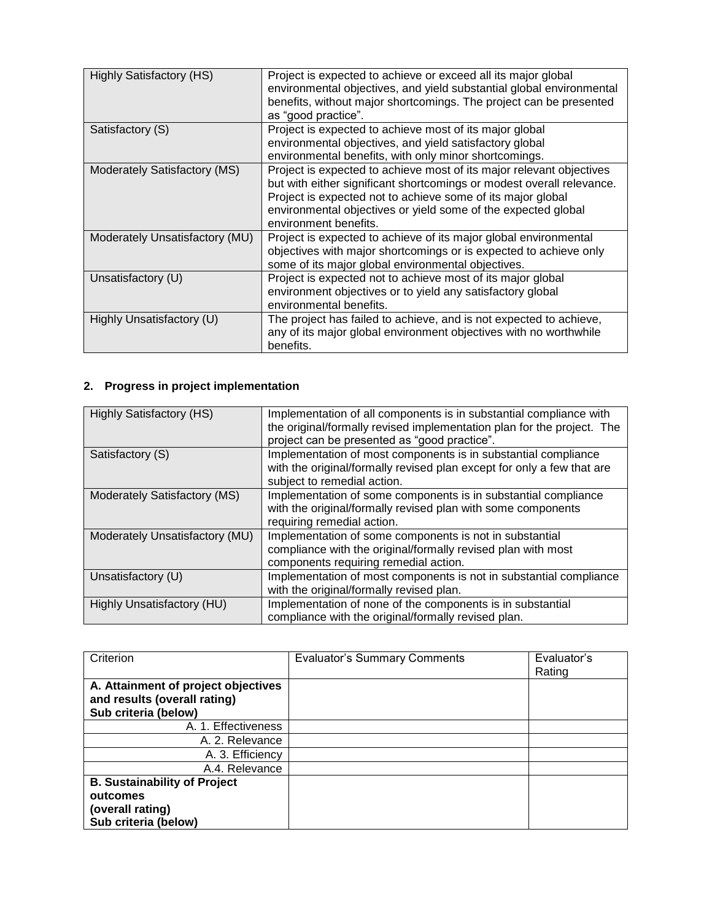| <b>Highly Satisfactory (HS)</b> | Project is expected to achieve or exceed all its major global<br>environmental objectives, and yield substantial global environmental<br>benefits, without major shortcomings. The project can be presented<br>as "good practice".                                                                     |
|---------------------------------|--------------------------------------------------------------------------------------------------------------------------------------------------------------------------------------------------------------------------------------------------------------------------------------------------------|
| Satisfactory (S)                | Project is expected to achieve most of its major global<br>environmental objectives, and yield satisfactory global<br>environmental benefits, with only minor shortcomings.                                                                                                                            |
| Moderately Satisfactory (MS)    | Project is expected to achieve most of its major relevant objectives<br>but with either significant shortcomings or modest overall relevance.<br>Project is expected not to achieve some of its major global<br>environmental objectives or yield some of the expected global<br>environment benefits. |
| Moderately Unsatisfactory (MU)  | Project is expected to achieve of its major global environmental<br>objectives with major shortcomings or is expected to achieve only<br>some of its major global environmental objectives.                                                                                                            |
| Unsatisfactory (U)              | Project is expected not to achieve most of its major global<br>environment objectives or to yield any satisfactory global<br>environmental benefits.                                                                                                                                                   |
| Highly Unsatisfactory (U)       | The project has failed to achieve, and is not expected to achieve,<br>any of its major global environment objectives with no worthwhile<br>benefits.                                                                                                                                                   |

# **2. Progress in project implementation**

| <b>Highly Satisfactory (HS)</b> | Implementation of all components is in substantial compliance with<br>the original/formally revised implementation plan for the project. The<br>project can be presented as "good practice". |
|---------------------------------|----------------------------------------------------------------------------------------------------------------------------------------------------------------------------------------------|
| Satisfactory (S)                | Implementation of most components is in substantial compliance<br>with the original/formally revised plan except for only a few that are<br>subject to remedial action.                      |
| Moderately Satisfactory (MS)    | Implementation of some components is in substantial compliance<br>with the original/formally revised plan with some components<br>requiring remedial action.                                 |
| Moderately Unsatisfactory (MU)  | Implementation of some components is not in substantial<br>compliance with the original/formally revised plan with most<br>components requiring remedial action.                             |
| Unsatisfactory (U)              | Implementation of most components is not in substantial compliance<br>with the original/formally revised plan.                                                                               |
| Highly Unsatisfactory (HU)      | Implementation of none of the components is in substantial<br>compliance with the original/formally revised plan.                                                                            |

| Criterion                                                                                   | <b>Evaluator's Summary Comments</b> | Evaluator's<br>Rating |
|---------------------------------------------------------------------------------------------|-------------------------------------|-----------------------|
| A. Attainment of project objectives<br>and results (overall rating)<br>Sub criteria (below) |                                     |                       |
| A. 1. Effectiveness                                                                         |                                     |                       |
| A. 2. Relevance                                                                             |                                     |                       |
| A. 3. Efficiency                                                                            |                                     |                       |
| A.4. Relevance                                                                              |                                     |                       |
| <b>B. Sustainability of Project</b><br>outcomes<br>(overall rating)<br>Sub criteria (below) |                                     |                       |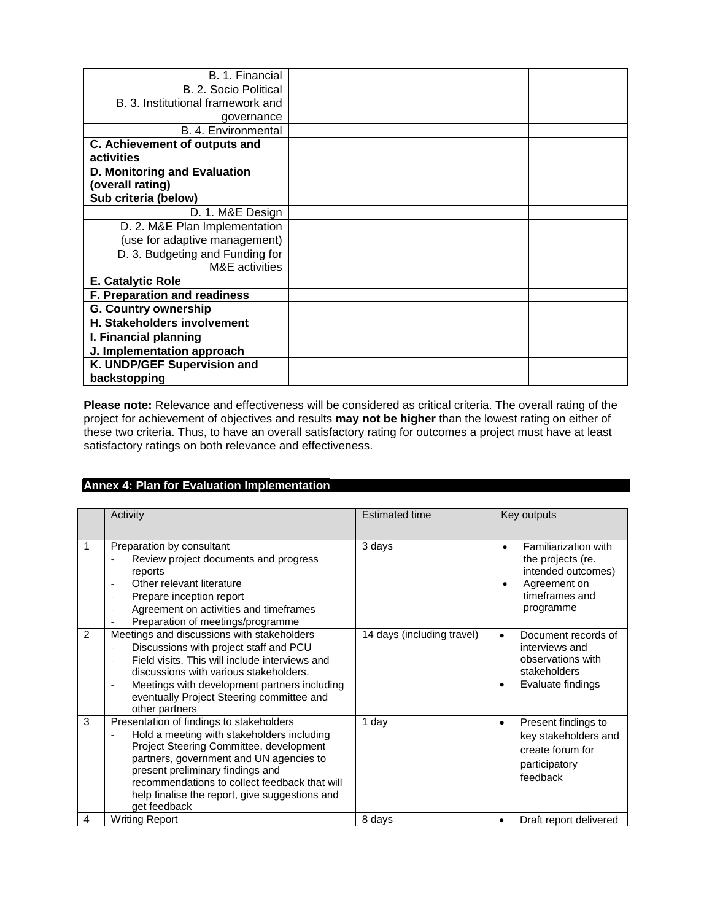| B. 1. Financial                   |  |
|-----------------------------------|--|
| B. 2. Socio Political             |  |
| B. 3. Institutional framework and |  |
| governance                        |  |
| B. 4. Environmental               |  |
| C. Achievement of outputs and     |  |
| activities                        |  |
| D. Monitoring and Evaluation      |  |
| (overall rating)                  |  |
| Sub criteria (below)              |  |
| D. 1. M&E Design                  |  |
| D. 2. M&E Plan Implementation     |  |
| (use for adaptive management)     |  |
| D. 3. Budgeting and Funding for   |  |
| <b>M&amp;E</b> activities         |  |
| E. Catalytic Role                 |  |
| F. Preparation and readiness      |  |
| <b>G. Country ownership</b>       |  |
| H. Stakeholders involvement       |  |
| I. Financial planning             |  |
| J. Implementation approach        |  |
| K. UNDP/GEF Supervision and       |  |
| backstopping                      |  |

**Please note:** Relevance and effectiveness will be considered as critical criteria. The overall rating of the project for achievement of objectives and results **may not be higher** than the lowest rating on either of these two criteria. Thus, to have an overall satisfactory rating for outcomes a project must have at least satisfactory ratings on both relevance and effectiveness.

## **Annex 4: Plan for Evaluation Implementation**

|               | Activity                                                                                                                                                                                                                                                                                                                            | <b>Estimated time</b>      | Key outputs                                                                                                       |
|---------------|-------------------------------------------------------------------------------------------------------------------------------------------------------------------------------------------------------------------------------------------------------------------------------------------------------------------------------------|----------------------------|-------------------------------------------------------------------------------------------------------------------|
|               | Preparation by consultant<br>Review project documents and progress<br>reports<br>Other relevant literature<br>$\overline{\phantom{a}}$<br>Prepare inception report<br>$\qquad \qquad -$<br>Agreement on activities and timeframes<br>$\qquad \qquad -$<br>Preparation of meetings/programme                                         | 3 days                     | Familiarization with<br>the projects (re.<br>intended outcomes)<br>Agreement on<br>timeframes and<br>programme    |
| $\mathcal{P}$ | Meetings and discussions with stakeholders<br>Discussions with project staff and PCU<br>Field visits. This will include interviews and<br>discussions with various stakeholders.<br>Meetings with development partners including<br>$\qquad \qquad -$<br>eventually Project Steering committee and<br>other partners                | 14 days (including travel) | Document records of<br>$\bullet$<br>interviews and<br>observations with<br>stakeholders<br>Evaluate findings<br>٠ |
| 3             | Presentation of findings to stakeholders<br>Hold a meeting with stakeholders including<br>Project Steering Committee, development<br>partners, government and UN agencies to<br>present preliminary findings and<br>recommendations to collect feedback that will<br>help finalise the report, give suggestions and<br>get feedback | 1 day                      | Present findings to<br>$\bullet$<br>key stakeholders and<br>create forum for<br>participatory<br>feedback         |
| 4             | <b>Writing Report</b>                                                                                                                                                                                                                                                                                                               | 8 days                     | Draft report delivered                                                                                            |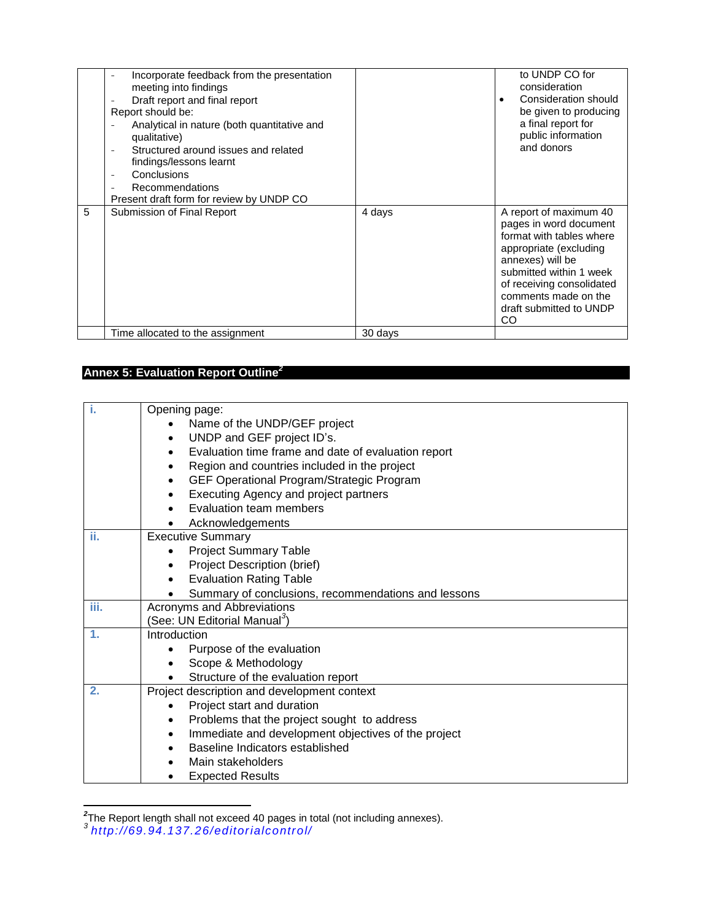|   | Incorporate feedback from the presentation<br>meeting into findings<br>Draft report and final report<br>Report should be:<br>Analytical in nature (both quantitative and<br>qualitative)<br>Structured around issues and related<br>findings/lessons learnt<br>Conclusions<br>٠<br>Recommendations<br>Present draft form for review by UNDP CO |         | to UNDP CO for<br>consideration<br>Consideration should<br>be given to producing<br>a final report for<br>public information<br>and donors                                                                                                  |
|---|------------------------------------------------------------------------------------------------------------------------------------------------------------------------------------------------------------------------------------------------------------------------------------------------------------------------------------------------|---------|---------------------------------------------------------------------------------------------------------------------------------------------------------------------------------------------------------------------------------------------|
| 5 | Submission of Final Report                                                                                                                                                                                                                                                                                                                     | 4 days  | A report of maximum 40<br>pages in word document<br>format with tables where<br>appropriate (excluding<br>annexes) will be<br>submitted within 1 week<br>of receiving consolidated<br>comments made on the<br>draft submitted to UNDP<br>CO |
|   | Time allocated to the assignment                                                                                                                                                                                                                                                                                                               | 30 days |                                                                                                                                                                                                                                             |

## **Annex 5: Evaluation Report Outline***<sup>2</sup>*

| i.   | Opening page:                                                    |  |
|------|------------------------------------------------------------------|--|
|      | Name of the UNDP/GEF project                                     |  |
|      | UNDP and GEF project ID's.<br>$\bullet$                          |  |
|      | Evaluation time frame and date of evaluation report<br>$\bullet$ |  |
|      | Region and countries included in the project<br>$\bullet$        |  |
|      | GEF Operational Program/Strategic Program<br>$\bullet$           |  |
|      | Executing Agency and project partners                            |  |
|      | Evaluation team members                                          |  |
|      | Acknowledgements                                                 |  |
| ii.  | <b>Executive Summary</b>                                         |  |
|      | <b>Project Summary Table</b><br>$\bullet$                        |  |
|      | Project Description (brief)                                      |  |
|      | <b>Evaluation Rating Table</b>                                   |  |
|      | Summary of conclusions, recommendations and lessons              |  |
| iii. | Acronyms and Abbreviations                                       |  |
|      | (See: UN Editorial Manual <sup>3</sup> )                         |  |
| 1.   | Introduction                                                     |  |
|      | Purpose of the evaluation                                        |  |
|      | Scope & Methodology                                              |  |
|      | Structure of the evaluation report<br>$\bullet$                  |  |
| 2.   | Project description and development context                      |  |
|      | Project start and duration                                       |  |
|      | Problems that the project sought to address                      |  |
|      | Immediate and development objectives of the project<br>$\bullet$ |  |
|      | Baseline Indicators established                                  |  |
|      | Main stakeholders                                                |  |
|      | <b>Expected Results</b>                                          |  |

 *2* The Report length shall not exceed 40 pages in total (not including annexes). *3 <http://69.94.137.26/editorialcontrol/>*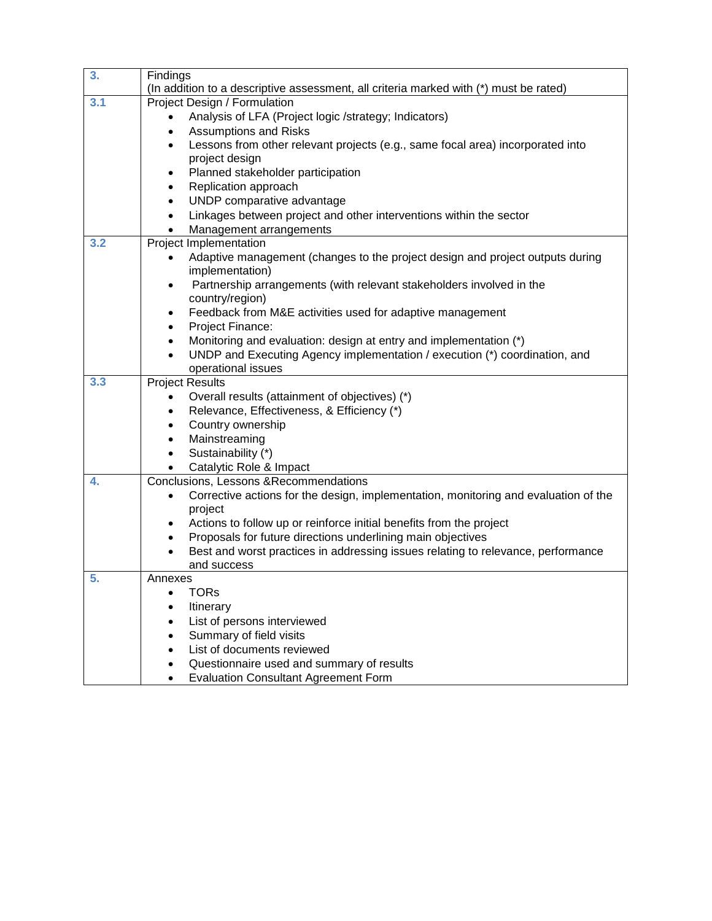| 3.  | Findings                                                                                                    |  |
|-----|-------------------------------------------------------------------------------------------------------------|--|
|     | (In addition to a descriptive assessment, all criteria marked with (*) must be rated)                       |  |
| 3.1 | Project Design / Formulation                                                                                |  |
|     | Analysis of LFA (Project logic /strategy; Indicators)                                                       |  |
|     | <b>Assumptions and Risks</b><br>$\bullet$                                                                   |  |
|     | Lessons from other relevant projects (e.g., same focal area) incorporated into<br>$\bullet$                 |  |
|     | project design                                                                                              |  |
|     | Planned stakeholder participation<br>$\bullet$                                                              |  |
|     | Replication approach<br>$\bullet$                                                                           |  |
|     | UNDP comparative advantage<br>$\bullet$                                                                     |  |
|     | Linkages between project and other interventions within the sector<br>٠                                     |  |
| 3.2 | Management arrangements<br>Project Implementation                                                           |  |
|     |                                                                                                             |  |
|     | Adaptive management (changes to the project design and project outputs during<br>implementation)            |  |
|     | Partnership arrangements (with relevant stakeholders involved in the<br>٠                                   |  |
|     | country/region)                                                                                             |  |
|     | Feedback from M&E activities used for adaptive management<br>$\bullet$                                      |  |
|     | Project Finance:<br>٠                                                                                       |  |
|     | Monitoring and evaluation: design at entry and implementation (*)<br>$\bullet$                              |  |
|     | UNDP and Executing Agency implementation / execution (*) coordination, and                                  |  |
|     | operational issues                                                                                          |  |
| 3.3 | <b>Project Results</b>                                                                                      |  |
|     | Overall results (attainment of objectives) (*)                                                              |  |
|     | Relevance, Effectiveness, & Efficiency (*)<br>$\bullet$                                                     |  |
|     | Country ownership<br>٠                                                                                      |  |
|     | Mainstreaming<br>$\bullet$                                                                                  |  |
|     | Sustainability (*)<br>$\bullet$                                                                             |  |
|     | Catalytic Role & Impact<br>$\bullet$                                                                        |  |
| 4.  | Conclusions, Lessons & Recommendations                                                                      |  |
|     | Corrective actions for the design, implementation, monitoring and evaluation of the<br>$\bullet$<br>project |  |
|     | Actions to follow up or reinforce initial benefits from the project<br>$\bullet$                            |  |
|     | Proposals for future directions underlining main objectives<br>$\bullet$                                    |  |
|     | Best and worst practices in addressing issues relating to relevance, performance<br>٠                       |  |
|     | and success                                                                                                 |  |
| 5.  | Annexes                                                                                                     |  |
|     | TORs<br>٠                                                                                                   |  |
|     | Itinerary                                                                                                   |  |
|     | List of persons interviewed                                                                                 |  |
|     | Summary of field visits<br>$\bullet$                                                                        |  |
|     | List of documents reviewed<br>$\bullet$                                                                     |  |
|     | Questionnaire used and summary of results<br>$\bullet$                                                      |  |
|     | <b>Evaluation Consultant Agreement Form</b><br>$\bullet$                                                    |  |